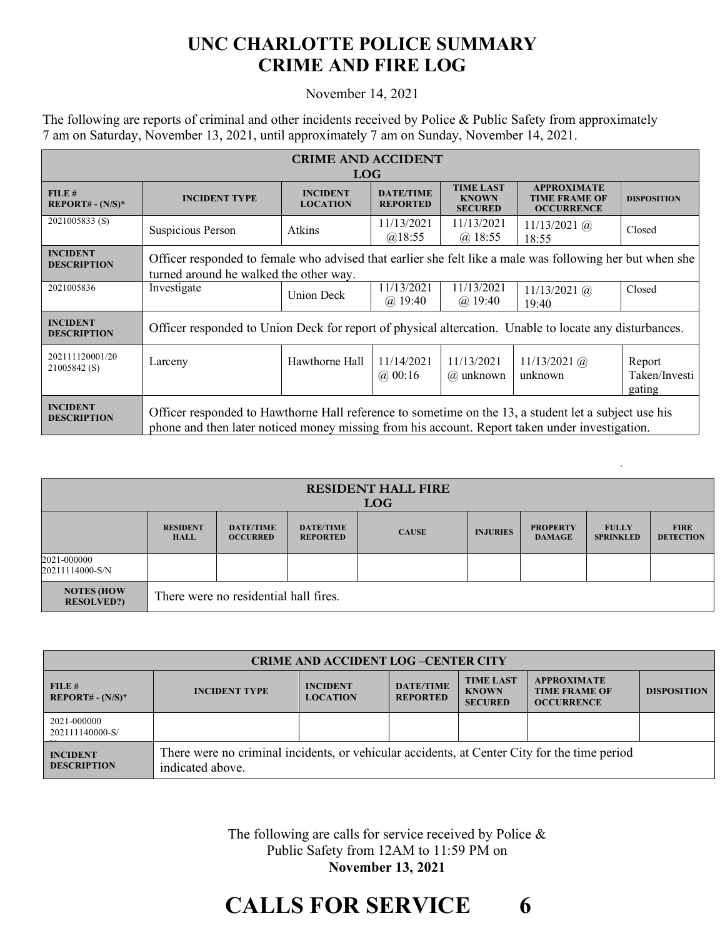## **UNC CHARLOTTE POLICE SUMMARY CRIME AND FIRE LOG**

## November 14, 2021

The following are reports of criminal and other incidents received by Police & Public Safety from approximately 7 am on Saturday, November 13, 2021, until approximately 7 am on Sunday, November 14, 2021.

| <b>CRIME AND ACCIDENT</b><br><b>LOG</b> |                                                                                                                                                                                                        |                                    |                                     |                                                    |                                                                 |                                   |  |
|-----------------------------------------|--------------------------------------------------------------------------------------------------------------------------------------------------------------------------------------------------------|------------------------------------|-------------------------------------|----------------------------------------------------|-----------------------------------------------------------------|-----------------------------------|--|
| FILE #<br>$REPORT# - (N/S)*$            | <b>INCIDENT TYPE</b>                                                                                                                                                                                   | <b>INCIDENT</b><br><b>LOCATION</b> | <b>DATE/TIME</b><br><b>REPORTED</b> | <b>TIME LAST</b><br><b>KNOWN</b><br><b>SECURED</b> | <b>APPROXIMATE</b><br><b>TIME FRAME OF</b><br><b>OCCURRENCE</b> | <b>DISPOSITION</b>                |  |
| 2021005833(S)                           | Suspicious Person                                                                                                                                                                                      | Atkins                             | 11/13/2021<br>@18:55                | 11/13/2021<br>@18:55                               | $11/13/2021$ (a)<br>18:55                                       | Closed                            |  |
| <b>INCIDENT</b><br><b>DESCRIPTION</b>   | Officer responded to female who advised that earlier she felt like a male was following her but when she<br>turned around he walked the other way.                                                     |                                    |                                     |                                                    |                                                                 |                                   |  |
| 2021005836                              | Investigate                                                                                                                                                                                            | <b>Union Deck</b>                  | 11/13/2021<br>$(a)$ 19:40           | 11/13/2021<br>$(a)$ 19:40                          | $11/13/2021$ (a)<br>19:40                                       | Closed                            |  |
| <b>INCIDENT</b><br><b>DESCRIPTION</b>   | Officer responded to Union Deck for report of physical altercation. Unable to locate any disturbances.                                                                                                 |                                    |                                     |                                                    |                                                                 |                                   |  |
| 202111120001/20<br>21005842 (S)         | Larceny                                                                                                                                                                                                | Hawthorne Hall                     | 11/14/2021<br>(a) 00:16             | 11/13/2021<br>@ unknown                            | $11/13/2021$ (a)<br>unknown                                     | Report<br>Taken/Investi<br>gating |  |
| <b>INCIDENT</b><br><b>DESCRIPTION</b>   | Officer responded to Hawthorne Hall reference to sometime on the 13, a student let a subject use his<br>phone and then later noticed money missing from his account. Report taken under investigation. |                                    |                                     |                                                    |                                                                 |                                   |  |

| <b>RESIDENT HALL FIRE</b><br><b>LOG</b> |                                       |                                     |                                     |              |                 |                                  |                                  |                                 |
|-----------------------------------------|---------------------------------------|-------------------------------------|-------------------------------------|--------------|-----------------|----------------------------------|----------------------------------|---------------------------------|
|                                         | <b>RESIDENT</b><br><b>HALL</b>        | <b>DATE/TIME</b><br><b>OCCURRED</b> | <b>DATE/TIME</b><br><b>REPORTED</b> | <b>CAUSE</b> | <b>INJURIES</b> | <b>PROPERTY</b><br><b>DAMAGE</b> | <b>FULLY</b><br><b>SPRINKLED</b> | <b>FIRE</b><br><b>DETECTION</b> |
| 2021-000000<br>20211114000-S/N          |                                       |                                     |                                     |              |                 |                                  |                                  |                                 |
| <b>NOTES (HOW</b><br><b>RESOLVED?</b>   | There were no residential hall fires. |                                     |                                     |              |                 |                                  |                                  |                                 |

| <b>CRIME AND ACCIDENT LOG-CENTER CITY</b> |                                                                                                                  |                                    |                                     |                                                    |                                                                 |                    |  |
|-------------------------------------------|------------------------------------------------------------------------------------------------------------------|------------------------------------|-------------------------------------|----------------------------------------------------|-----------------------------------------------------------------|--------------------|--|
| FILE#<br>$REPORT# - (N/S)*$               | <b>INCIDENT TYPE</b>                                                                                             | <b>INCIDENT</b><br><b>LOCATION</b> | <b>DATE/TIME</b><br><b>REPORTED</b> | <b>TIME LAST</b><br><b>KNOWN</b><br><b>SECURED</b> | <b>APPROXIMATE</b><br><b>TIME FRAME OF</b><br><b>OCCURRENCE</b> | <b>DISPOSITION</b> |  |
| 2021-000000<br>202111140000-S/            |                                                                                                                  |                                    |                                     |                                                    |                                                                 |                    |  |
| <b>INCIDENT</b><br><b>DESCRIPTION</b>     | There were no criminal incidents, or vehicular accidents, at Center City for the time period<br>indicated above. |                                    |                                     |                                                    |                                                                 |                    |  |

The following are calls for service received by Police & Public Safety from 12AM to 11:59 PM on **November 13, 2021**

## **CALLS FOR SERVICE 6**